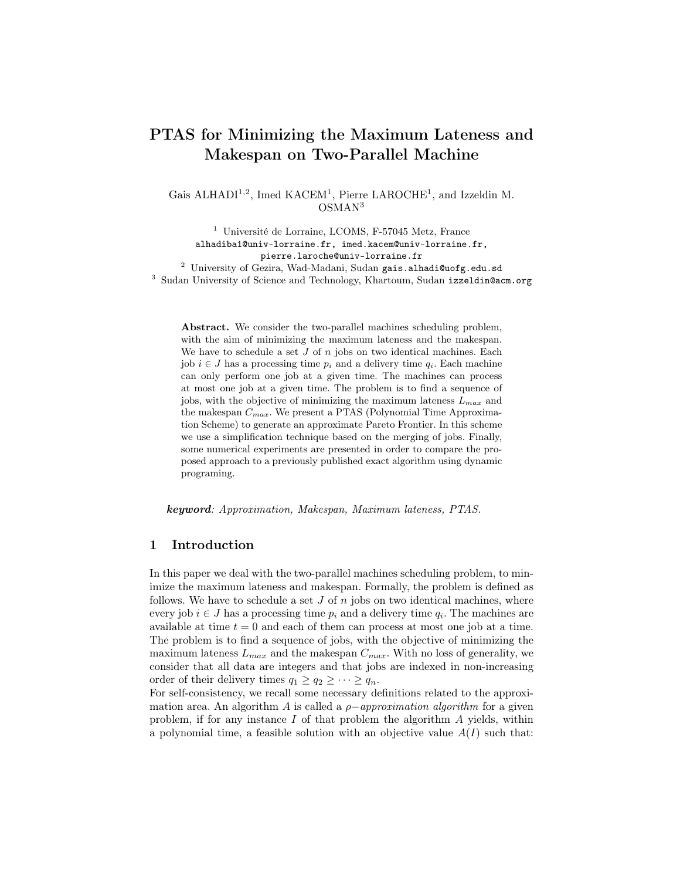# PTAS for Minimizing the Maximum Lateness and Makespan on Two-Parallel Machine

Gais ALHADI<sup>1,2</sup>, Imed KACEM<sup>1</sup>, Pierre LAROCHE<sup>1</sup>, and Izzeldin M. OSMAN<sup>3</sup>

<sup>1</sup> Université de Lorraine, LCOMS, F-57045 Metz, France alhadiba1@univ-lorraine.fr, imed.kacem@univ-lorraine.fr, pierre.laroche@univ-lorraine.fr  $^2\,$ University of Gezira, Wad-Madani, Sudan gais.alhadi@uofg.edu.sd <sup>3</sup> Sudan University of Science and Technology, Khartoum, Sudan izzeldin@acm.org

Abstract. We consider the two-parallel machines scheduling problem, with the aim of minimizing the maximum lateness and the makespan. We have to schedule a set  $J$  of  $n$  jobs on two identical machines. Each job  $i \in J$  has a processing time  $p_i$  and a delivery time  $q_i$ . Each machine can only perform one job at a given time. The machines can process at most one job at a given time. The problem is to find a sequence of jobs, with the objective of minimizing the maximum lateness  $L_{max}$  and the makespan  $C_{max}$ . We present a PTAS (Polynomial Time Approximation Scheme) to generate an approximate Pareto Frontier. In this scheme we use a simplification technique based on the merging of jobs. Finally, some numerical experiments are presented in order to compare the proposed approach to a previously published exact algorithm using dynamic programing.

keyword: Approximation, Makespan, Maximum lateness, PTAS.

#### 1 Introduction

In this paper we deal with the two-parallel machines scheduling problem, to minimize the maximum lateness and makespan. Formally, the problem is defined as follows. We have to schedule a set  $J$  of  $n$  jobs on two identical machines, where every job  $i \in J$  has a processing time  $p_i$  and a delivery time  $q_i$ . The machines are available at time  $t = 0$  and each of them can process at most one job at a time. The problem is to find a sequence of jobs, with the objective of minimizing the maximum lateness  $L_{max}$  and the makespan  $C_{max}$ . With no loss of generality, we consider that all data are integers and that jobs are indexed in non-increasing order of their delivery times  $q_1 \geq q_2 \geq \cdots \geq q_n$ .

For self-consistency, we recall some necessary definitions related to the approximation area. An algorithm A is called a  $\rho-approximation$  algorithm for a given problem, if for any instance I of that problem the algorithm A yields, within a polynomial time, a feasible solution with an objective value  $A(I)$  such that: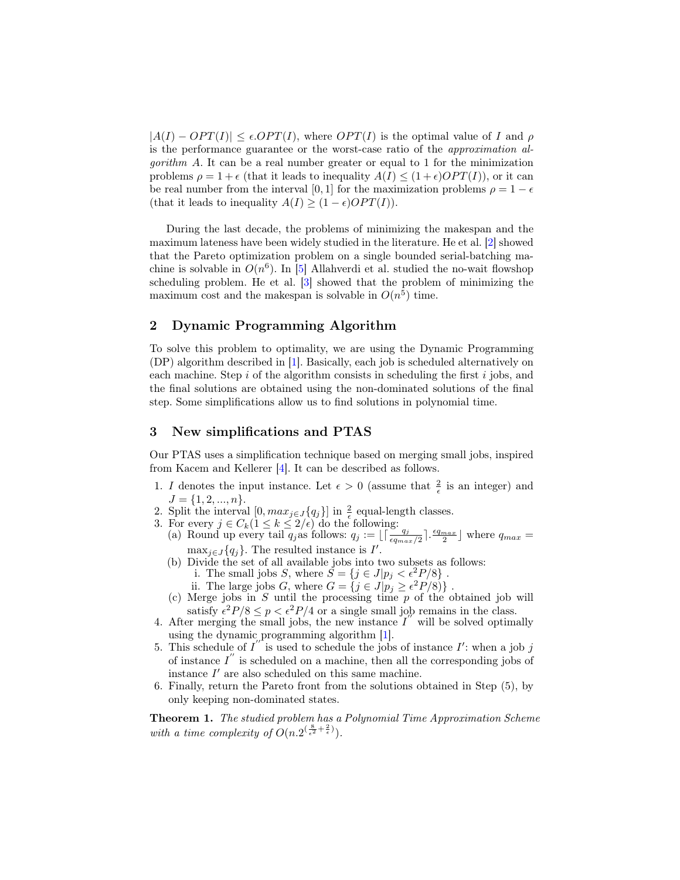$|A(I) - OPT(I)| \leq \epsilon \cdot OPT(I)$ , where  $OPT(I)$  is the optimal value of I and  $\rho$ is the performance guarantee or the worst-case ratio of the approximation al*gorithm A.* It can be a real number greater or equal to 1 for the minimization problems  $\rho = 1 + \epsilon$  (that it leads to inequality  $A(I) \leq (1 + \epsilon)OPT(I)$ ), or it can be real number from the interval [0, 1] for the maximization problems  $\rho = 1 - \epsilon$ (that it leads to inequality  $A(I) \geq (1 - \epsilon) OPT(I)$ ).

During the last decade, the problems of minimizing the makespan and the maximum lateness have been widely studied in the literature. He et al. [\[2\]](#page-3-0) showed that the Pareto optimization problem on a single bounded serial-batching machine is solvable in  $O(n^6)$ . In [\[5\]](#page-3-1) Allahverdi et al. studied the no-wait flowshop scheduling problem. He et al. [\[3\]](#page-3-2) showed that the problem of minimizing the maximum cost and the makespan is solvable in  $O(n^5)$  time.

## 2 Dynamic Programming Algorithm

To solve this problem to optimality, we are using the Dynamic Programming (DP) algorithm described in [\[1\]](#page-3-3). Basically, each job is scheduled alternatively on each machine. Step  $i$  of the algorithm consists in scheduling the first  $i$  jobs, and the final solutions are obtained using the non-dominated solutions of the final step. Some simplifications allow us to find solutions in polynomial time.

#### 3 New simplifications and PTAS

Our PTAS uses a simplification technique based on merging small jobs, inspired from Kacem and Kellerer [\[4\]](#page-3-4). It can be described as follows.

- 1. I denotes the input instance. Let  $\epsilon > 0$  (assume that  $\frac{2}{\epsilon}$  is an integer) and  $J = \{1, 2, ..., n\}.$
- 2. Split the interval  $[0, max_{j \in J} {q_j}]$  in  $\frac{2}{\epsilon}$  equal-length classes.
- 
- 3. For every  $j \in C_k$   $(1 \le k \le 2/\epsilon)$  do the following:<br>
(a) Round up every tail  $q_j$  as follows:  $q_j := \lfloor \lceil \frac{q_j}{\epsilon q_{max}/2} \rceil \cdot \frac{\epsilon q_{max}}{2} \rfloor$  where  $q_{max} =$  $\max_{j\in J}{q_j}$ . The resulted instance is I'.
	- (b) Divide the set of all available jobs into two subsets as follows:
		- i. The small jobs S, where  $\ddot{S} = \{j \in J | p_j < \epsilon^2 P/8 \}$ .
		- ii. The large jobs G, where  $G = \{j \in J | p_j \ge \epsilon^2 P/8\}$ .
	- (c) Merge jobs in  $S$  until the processing time  $p$  of the obtained job will satisfy  $\epsilon^2 P/8 \le p < \epsilon^2 P/4$  or a single small job remains in the class.
- 4. After merging the small jobs, the new instance  $I'$  will be solved optimally using the dynamic programming algorithm [\[1\]](#page-3-3).
- 5. This schedule of  $I''$  is used to schedule the jobs of instance I': when a job j of instance  $I''$  is scheduled on a machine, then all the corresponding jobs of instance  $I'$  are also scheduled on this same machine.
- 6. Finally, return the Pareto front from the solutions obtained in Step (5), by only keeping non-dominated states.

Theorem 1. The studied problem has a Polynomial Time Approximation Scheme with a time complexity of  $O(n \cdot 2^{(\frac{8}{\epsilon^2} + \frac{2}{\epsilon})}).$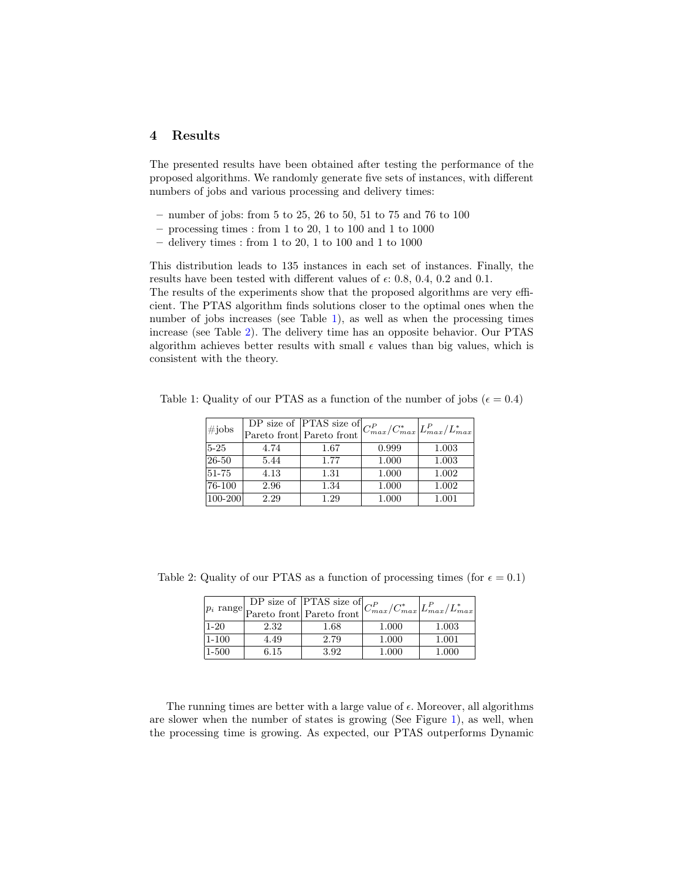## 4 Results

The presented results have been obtained after testing the performance of the proposed algorithms. We randomly generate five sets of instances, with different numbers of jobs and various processing and delivery times:

- number of jobs: from 5 to 25, 26 to 50, 51 to 75 and 76 to 100
- $-$  processing times : from 1 to 20, 1 to 100 and 1 to 1000
- $-$  delivery times : from 1 to 20, 1 to 100 and 1 to 1000

This distribution leads to 135 instances in each set of instances. Finally, the results have been tested with different values of  $\epsilon$ : 0.8, 0.4, 0.2 and 0.1. The results of the experiments show that the proposed algorithms are very efficient. The PTAS algorithm finds solutions closer to the optimal ones when the number of jobs increases (see Table [1\)](#page-2-0), as well as when the processing times increase (see Table [2\)](#page-2-1). The delivery time has an opposite behavior. Our PTAS algorithm achieves better results with small  $\epsilon$  values than big values, which is consistent with the theory.

<span id="page-2-0"></span>

| #jobs           |      | $\overline{\text{DP size of}}$  PTAS size of $ C_{max}^P/C_{max}^* C_{max}^P/L_{max}^* $<br>Pareto front Pareto front |       |       |
|-----------------|------|-----------------------------------------------------------------------------------------------------------------------|-------|-------|
| $5 - 25$        | 4.74 | 1.67                                                                                                                  | 0.999 | 1.003 |
| 26-50           | 5.44 | 1.77                                                                                                                  | 1.000 | 1.003 |
| 51-75           | 4.13 | 1.31                                                                                                                  | 1.000 | 1.002 |
| $\sqrt{76-100}$ | 2.96 | 1.34                                                                                                                  | 1.000 | 1.002 |
| 100-200         | 2.29 | 1.29                                                                                                                  | 1.000 | 1.001 |

Table 1: Quality of our PTAS as a function of the number of jobs ( $\epsilon = 0.4$ )

<span id="page-2-1"></span>

|            |      | $p_i$ range DP size of PTAS size of $C_{max}^P/C_{max}^*$ $L_{max}^P/L_{max}^*$ |       |       |
|------------|------|---------------------------------------------------------------------------------|-------|-------|
| $1-20$     | 2.32 | 1.68                                                                            | 1.000 | 1.003 |
| $1 - 100$  | 4.49 | 2.79                                                                            | 1.000 | 1.001 |
| $ 1 - 500$ | 6.15 | 3.92                                                                            | 1.000 | 1.000 |

Table 2: Quality of our PTAS as a function of processing times (for  $\epsilon = 0.1$ )

The running times are better with a large value of  $\epsilon$ . Moreover, all algorithms are slower when the number of states is growing (See Figure [1\)](#page-3-5), as well, when the processing time is growing. As expected, our PTAS outperforms Dynamic